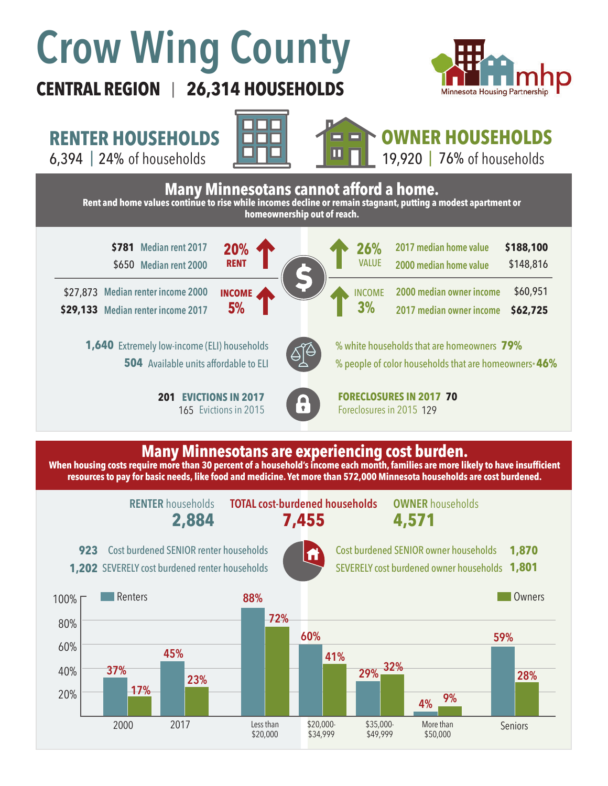# **Crow Wing County**

**CENTRAL REGION 26,314 HOUSEHOLDS**  |



**RENTER HOUSEHOLDS**

6,394 | of households 24% 76%





**OWNER HOUSEHOLDS** 19,920 | 76% of households



## **Many Minnesotans are experiencing cost burden.**

**When housing costs require more than 30 percent of a household's income each month, families are more likely to have insufficient resources to pay for basic needs, like food and medicine. Yet more than 572,000 Minnesota households are cost burdened.**